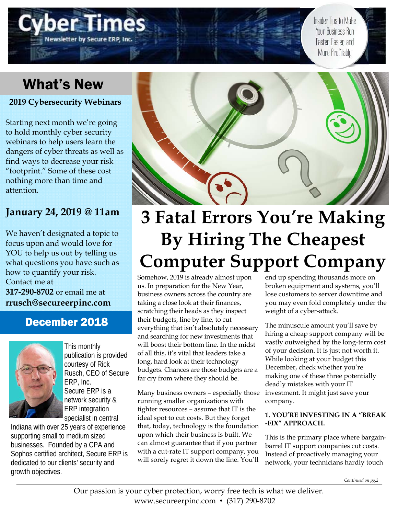## What's New

**2019 Cybersecurity Webinars** 

Newsletter by Secure ERP

Starting next month we're going to hold monthly cyber security webinars to help users learn the dangers of cyber threats as well as find ways to decrease your risk "footprint." Some of these cost nothing more than time and attention.

## **January 24, 2019 @ 11am**

We haven't designated a topic to focus upon and would love for YOU to help us out by telling us what questions you have such as how to quantify your risk. Contact me at **317-290-8702** or email me at **rrusch@secureerpinc.com** 

## December 2018



This monthly publication is provided courtesy of Rick Rusch, CEO of Secure ERP, Inc. Secure ERP is a network security & ERP integration specialist in central

Indiana with over 25 years of experience supporting small to medium sized businesses. Founded by a CPA and Sophos certified architect, Secure ERP is dedicated to our clients' security and growth objectives.



# **3 Fatal Errors You're Making By Hiring The Cheapest Computer Support Company**

Somehow, 2019 is already almost upon us. In preparation for the New Year, business owners across the country are taking a close look at their finances, scratching their heads as they inspect their budgets, line by line, to cut everything that isn't absolutely necessary and searching for new investments that will boost their bottom line. In the midst of all this, it's vital that leaders take a long, hard look at their technology budgets. Chances are those budgets are a far cry from where they should be.

Many business owners – especially those running smaller organizations with tighter resources – assume that IT is the ideal spot to cut costs. But they forget that, today, technology is the foundation upon which their business is built. We can almost guarantee that if you partner with a cut-rate IT support company, you will sorely regret it down the line. You'll

end up spending thousands more on broken equipment and systems, you'll lose customers to server downtime and you may even fold completely under the weight of a cyber-attack.

Insider Tips to Make Your Business Run

Faster, Easier, and More Profitably

The minuscule amount you'll save by hiring a cheap support company will be vastly outweighed by the long-term cost of your decision. It is just not worth it. While looking at your budget this December, check whether you're making one of these three potentially deadly mistakes with your IT investment. It might just save your company.

#### **1. YOU'RE INVESTING IN A "BREAK -FIX" APPROACH.**

This is the primary place where bargainbarrel IT support companies cut costs. Instead of proactively managing your network, your technicians hardly touch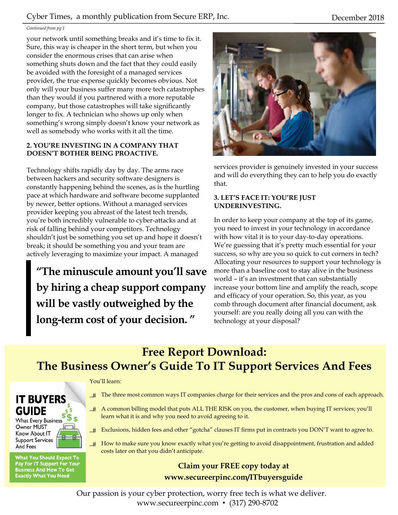#### *Continued from pg.1*

your network until something breaks and it's time to fix it. Sure, this way is cheaper in the short term, but when you consider the enormous crises that can arise when something shuts down and the fact that they could easily be avoided with the foresight of a managed services provider, the true expense quickly becomes obvious. Not only will your business suffer many more tech catastrophes than they would if you partnered with a more reputable company, but those catastrophes will take significantly longer to fix. A technician who shows up only when something's wrong simply doesn't know your network as well as somebody who works with it all the time.

#### **2. YOU'RE INVESTING IN A COMPANY THAT DOESN'T BOTHER BEING PROACTIVE.**

Technology shifts rapidly day by day. The arms race between hackers and security software designers is constantly happening behind the scenes, as is the hurtling pace at which hardware and software become supplanted by newer, better options. Without a managed services provider keeping you abreast of the latest tech trends, you're both incredibly vulnerable to cyber-attacks and at risk of falling behind your competitors. Technology shouldn't just be something you set up and hope it doesn't break; it should be something you and your team are actively leveraging to maximize your impact. A managed

**"The minuscule amount you'll save by hiring a cheap support company will be vastly outweighed by the long-term cost of your decision. "** 



services provider is genuinely invested in your success and will do everything they can to help you do exactly that.

#### **3. LET'S FACE IT: YOU'RE JUST UNDERINVESTING.**

In order to keep your company at the top of its game, you need to invest in your technology in accordance with how vital it is to your day-to-day operations. We're guessing that it's pretty much essential for your success, so why are you so quick to cut corners in tech? Allocating your resources to support your technology is more than a baseline cost to stay alive in the business world – it's an investment that can substantially increase your bottom line and amplify the reach, scope and efficacy of your operation. So, this year, as you comb through document after financial document, ask yourself: are you really doing all you can with the technology at your disposal?

## **Free Report Download: The Business Owner's Guide To IT Support Services And Fees**

#### You'll learn:



**What You Should Expect To** Pay For IT Support For Your<br>Business And How To Get<br>Exactly What You Need

- $\pm$  The three most common ways IT companies charge for their services and the pros and cons of each approach.
- A common billing model that puts ALL THE RISK on you, the customer, when buying IT services; you'll learn what it is and why you need to avoid agreeing to it.
- $H_{\text{m}}$  Exclusions, hidden fees and other "gotcha" clauses IT firms put in contracts you DON'T want to agree to.
- How to make sure you know exactly what you're getting to avoid disappointment, frustration and added costs later on that you didn't anticipate.

#### **Claim your FREE copy today at www.secureerpinc.com/ITbuyersguide**

Our passion is your cyber protection, worry free tech is what we deliver. www.secureerpinc.com • (317) 290-8702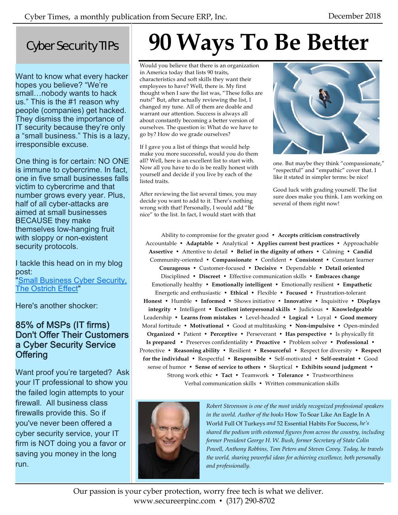## Cyber Security TIPs

Want to know what every hacker hopes you believe? "We're small…nobody wants to hack us." This is the #1 reason why people (companies) get hacked. They dismiss the importance of IT security because they're only a "small business." This is a lazy, irresponsible excuse.

One thing is for certain: NO ONE is immune to cybercrime. In fact, one in five small businesses falls victim to cybercrime and that number grows every year. Plus, half of all cyber-attacks are aimed at small businesses BECAUSE they make themselves low-hanging fruit with sloppy or non-existent security protocols.

I tackle this head on in my blog post: **"Small Business Cyber Security,** The Ostrich Effect"

Here's another shocker:

### 85% of MSPs (IT firms) Don't Offer Their Customers a Cyber Security Service **Offering**

Want proof you're targeted? Ask your IT professional to show you the failed login attempts to your firewall. All business class firewalls provide this. So if you've never been offered a cyber security service, your IT firm is NOT doing you a favor or saving you money in the long run.

# **90 Ways To Be Better**

Would you believe that there is an organization in America today that lists 90 traits, characteristics and soft skills they want their employees to have? Well, there is. My first thought when I saw the list was, "These folks are nuts!" But, after actually reviewing the list, I changed my tune. All of them are doable and warrant our attention. Success is always all about constantly becoming a better version of ourselves. The question is: What do we have to go by? How do we grade ourselves?

If I gave you a list of things that would help make you more successful, would you do them all? Well, here is an excellent list to start with. Now all you have to do is be really honest with yourself and decide if you live by each of the listed traits.

After reviewing the list several times, you may decide you want to add to it. There's nothing wrong with that! Personally, I would add "Be nice" to the list. In fact, I would start with that



one. But maybe they think "compassionate," "respectful" and "empathic" cover that. I like it stated in simpler terms: be nice!

Good luck with grading yourself. The list sure does make you think. I am working on several of them right now!

Ability to compromise for the greater good • **Accepts criticism constructively** Accountable • **Adaptable** • Analytical • **Applies current best practices** • Approachable **Assertive** • Attentive to detail • **Belief in the dignity of others** • Calming • **Candid** Community-oriented • **Compassionate** • Confident • **Consistent** • Constant learner **Courageous** • Customer-focused • **Decisive** • Dependable • **Detail oriented** Disciplined • **Discreet** • Effective communication skills • **Embraces change** Emotionally healthy • **Emotionally intelligent** • Emotionally resilient • **Empathetic** Energetic and enthusiastic • **Ethical** • Flexible • **Focused** • Frustration-tolerant **Honest** • Humble • **Informed** • Shows initiative • **Innovative** • Inquisitive • **Displays integrity** • Intelligent • **Excellent interpersonal skills** • Judicious • **Knowledgeable** Leadership • **Learns from mistakes** • Level-headed • **Logical** • Loyal • **Good memory** Moral fortitude • **Motivational** • Good at multitasking • **Non-impulsive** • Open-minded **Organized** • Patient • **Perceptive** • Perseverant • **Has perspective** • Is physically fit **Is prepared** • Preserves confidentiality • **Proactive** • Problem solver • **Professional** • Protective • **Reasoning ability** • Resilient • **Resourceful** • Respect for diversity • **Respect for the individual** • Respectful • **Responsible** • Self-motivated • **Self-restraint** • Good sense of humor • **Sense of service to others** • Skeptical • **Exhibits sound judgment** • Strong work ethic • **Tact** • Teamwork • **Tolerance** • Trustworthiness Verbal communication skills • Written communication skills



*Robert Stevenson is one of the most widely recognized professional speakers in the world. Author of the books* How To Soar Like An Eagle In A World Full Of Turkeys *and* 52 Essential Habits For Success, *he's shared the podium with esteemed figures from across the country, including former President George H. W. Bush, former Secretary of State Colin Powell, Anthony Robbins, Tom Peters and Steven Covey. Today, he travels the world, sharing powerful ideas for achieving excellence, both personally and professionally.* 

Our passion is your cyber protection, worry free tech is what we deliver. www.secureerpinc.com • (317) 290-8702